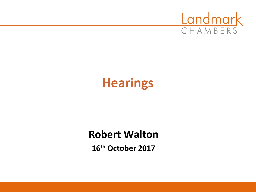

# **Hearings**

# **Robert Walton**

**16th October 2017**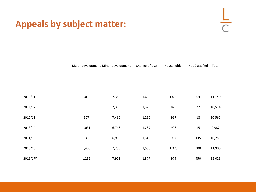#### **Appeals by subject matter:**

# $\frac{L}{C}$

| Major development Minor development Change of Use |  |  | Householder Not Classified Total |  |
|---------------------------------------------------|--|--|----------------------------------|--|
|---------------------------------------------------|--|--|----------------------------------|--|

| 2010/11              | 1,010 | 7,389 | 1,604 | 1,073 | 64  | 11,140 |
|----------------------|-------|-------|-------|-------|-----|--------|
| 2011/12              | 891   | 7,356 | 1,375 | 870   | 22  | 10,514 |
| 2012/13              | 907   | 7,460 | 1,260 | 917   | 18  | 10,562 |
| 2013/14              | 1,031 | 6,746 | 1,287 | 908   | 15  | 9,987  |
| 2014/15              | 1,316 | 6,995 | 1,340 | 967   | 135 | 10,753 |
| 2015/16              | 1,408 | 7,293 | 1,580 | 1,325 | 300 | 11,906 |
| 2016/17 <sup>P</sup> | 1,292 | 7,923 | 1,377 | 979   | 450 | 12,021 |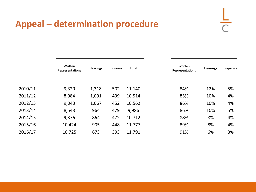#### **Appeal – determination procedure**

| $-$<br>۴<br>۹ |
|---------------|
| ì<br>ï        |

|         | Written<br>Representations | <b>Hearings</b> | Inquiries | Total  | Written<br>Representations | <b>Hearings</b> | Inquiries |
|---------|----------------------------|-----------------|-----------|--------|----------------------------|-----------------|-----------|
| 2010/11 | 9,320                      | 1,318           | 502       | 11,140 | 84%                        | 12%             | 5%        |
| 2011/12 | 8,984                      | 1,091           | 439       | 10,514 | 85%                        | 10%             | 4%        |
| 2012/13 | 9,043                      | 1,067           | 452       | 10,562 | 86%                        | 10%             | 4%        |
| 2013/14 | 8,543                      | 964             | 479       | 9,986  | 86%                        | 10%             | 5%        |
| 2014/15 | 9,376                      | 864             | 472       | 10,712 | 88%                        | 8%              | 4%        |
| 2015/16 | 10,424                     | 905             | 448       | 11,777 | 89%                        | 8%              | 4%        |
| 2016/17 | 10,725                     | 673             | 393       | 11,791 | 91%                        | 6%              | 3%        |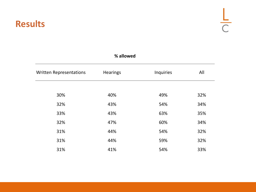#### **Results**

| % allowed                      |                 |           |     |
|--------------------------------|-----------------|-----------|-----|
| <b>Written Representations</b> | <b>Hearings</b> | Inquiries | All |
|                                |                 |           |     |
| 30%                            | 40%             | 49%       | 32% |
| 32%                            | 43%             | 54%       | 34% |
| 33%                            | 43%             | 63%       | 35% |
| 32%                            | 47%             | 60%       | 34% |
| 31%                            | 44%             | 54%       | 32% |
| 31%                            | 44%             | 59%       | 32% |
| 31%                            | 41%             | 54%       | 33% |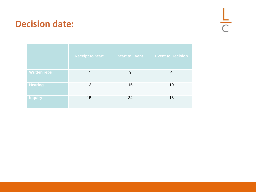#### **Decision date:**

 $rac{L}{C}$ 

|                     | <b>Receipt to Start</b> | <b>Start to Event</b> | <b>Event to Decision</b> |
|---------------------|-------------------------|-----------------------|--------------------------|
| <b>Written reps</b> | 7                       | 9                     | 4                        |
| <b>Hearing</b>      | 13                      | 15                    | 10                       |
| <b>Inquiry</b>      | 15                      | 34                    | 18                       |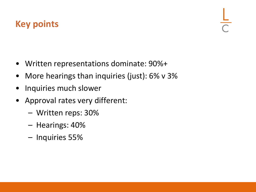# **Key points**

- Written representations dominate: 90%+
- More hearings than inquiries (just): 6% v 3%
- Inquiries much slower
- Approval rates very different:
	- Written reps: 30%
	- Hearings: 40%
	- Inquiries 55%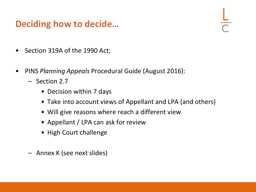#### **Deciding how to decide…**

- Section 319A of the 1990 Act;
- PINS *Planning Appeals* Procedural Guide (August 2016):
	- Section 2.7
		- Decision within 7 days
		- Take into account views of Appellant and LPA (and others)
		- Will give reasons where reach a different view
		- Appellant / LPA can ask for review
		- High Court challenge
	- Annex K (see next slides)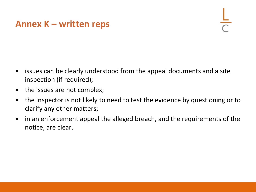#### **Annex K – written reps**

- issues can be clearly understood from the appeal documents and a site inspection (if required);
- the issues are not complex;
- the Inspector is not likely to need to test the evidence by questioning or to clarify any other matters;
- in an enforcement appeal the alleged breach, and the requirements of the notice, are clear.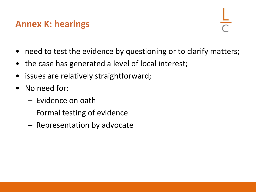#### **Annex K: hearings**

- need to test the evidence by questioning or to clarify matters;
- the case has generated a level of local interest;
- issues are relatively straightforward;
- No need for:
	- Evidence on oath
	- Formal testing of evidence
	- Representation by advocate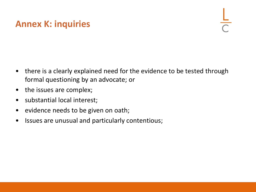# **Annex K: inquiries**

- there is a clearly explained need for the evidence to be tested through formal questioning by an advocate; or
- the issues are complex;
- substantial local interest;
- evidence needs to be given on oath;
- Issues are unusual and particularly contentious;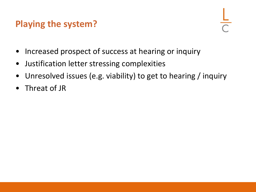# **Playing the system?**

- Increased prospect of success at hearing or inquiry
- Justification letter stressing complexities
- Unresolved issues (e.g. viability) to get to hearing / inquiry
- Threat of JR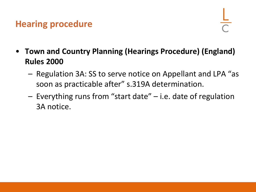#### **Hearing procedure**

- **Town and Country Planning (Hearings Procedure) (England) Rules 2000**
	- Regulation 3A: SS to serve notice on Appellant and LPA "as soon as practicable after" s.319A determination.
	- Everything runs from "start date" i.e. date of regulation 3A notice.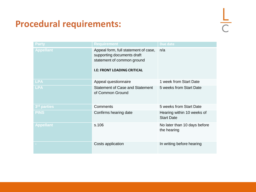# **Procedural requirements:**

| <b>Party</b>     | <b>Requirement</b>                                                                                                                     | Due date                                        |
|------------------|----------------------------------------------------------------------------------------------------------------------------------------|-------------------------------------------------|
| <b>Appellant</b> | Appeal form, full statement of case,<br>supporting documents draft<br>statement of common ground<br><b>I.E: FRONT LOADING CRITICAL</b> | n/a                                             |
| <b>LPA</b>       | Appeal questionnaire                                                                                                                   | 1 week from Start Date                          |
| <b>LPA</b>       | <b>Statement of Case and Statement</b><br>of Common Ground                                                                             | 5 weeks from Start Date                         |
| 3rd parties      | Comments                                                                                                                               | 5 weeks from Start Date                         |
| <b>PINS</b>      | Confirms hearing date                                                                                                                  | Hearing within 10 weeks of<br><b>Start Date</b> |
| <b>Appellant</b> | s.106                                                                                                                                  | No later than 10 days before<br>the hearing     |
|                  | Costs application                                                                                                                      | In writing before hearing                       |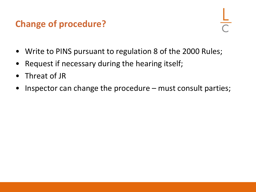# **Change of procedure?**

- Write to PINS pursuant to regulation 8 of the 2000 Rules;
- Request if necessary during the hearing itself;
- Threat of JR
- Inspector can change the procedure  $-$  must consult parties;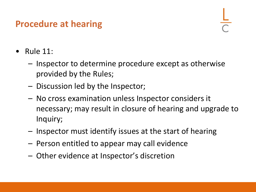#### **Procedure at hearing**

- Rule  $11$ :
	- Inspector to determine procedure except as otherwise provided by the Rules;
	- Discussion led by the Inspector;
	- No cross examination unless Inspector considers it necessary; may result in closure of hearing and upgrade to Inquiry;
	- Inspector must identify issues at the start of hearing
	- Person entitled to appear may call evidence
	- Other evidence at Inspector's discretion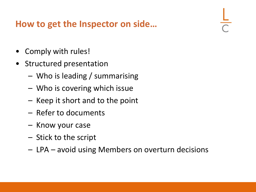#### **How to get the Inspector on side…**

- Comply with rules!
- Structured presentation
	- Who is leading / summarising
	- Who is covering which issue
	- Keep it short and to the point
	- Refer to documents
	- Know your case
	- Stick to the script
	- LPA avoid using Members on overturn decisions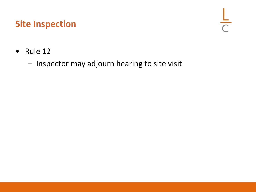# **Site Inspection**

 $\frac{L}{C}$ 

- Rule 12
	- Inspector may adjourn hearing to site visit